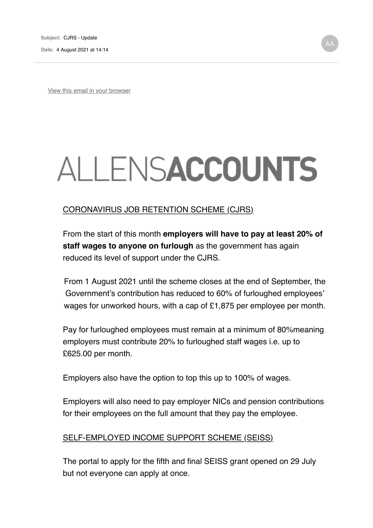View this email in your browser

## ALLENSACCOUNTS

## CORONAVIRUS JOB RETENTION SCHEME (CJRS)

From the start of this month **employers will have to pay at least 20% of staff wages to anyone on furlough** as the government has again reduced its level of support under the CJRS.

From 1 August 2021 until the scheme closes at the end of September, the Government's contribution has reduced to 60% of furloughed employees' wages for unworked hours, with a cap of £1,875 per employee per month.

Pay for furloughed employees must remain at a minimum of 80%meaning employers must contribute 20% to furloughed staff wages i.e. up to £625.00 per month.

Employers also have the option to top this up to 100% of wages.

Employers will also need to pay employer NICs and pension contributions for their employees on the full amount that they pay the employee.

## SELF-EMPLOYED INCOME SUPPORT SCHEME (SEISS)

The portal to apply for the fifth and final SEISS grant opened on 29 July but not everyone can apply at once.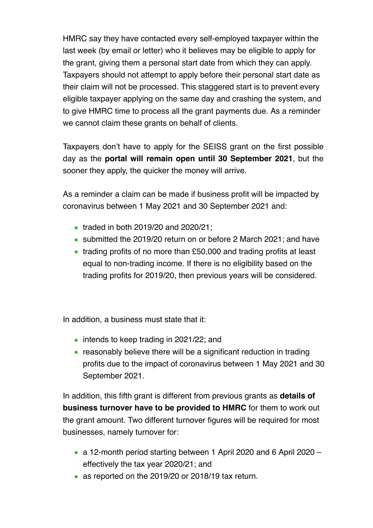HMRC say they have contacted every self-employed taxpayer within the last week (by email or letter) who it believes may be eligible to apply for the grant, giving them a personal start date from which they can apply. Taxpayers should not attempt to apply before their personal start date as their claim will not be processed. This staggered start is to prevent every eligible taxpayer applying on the same day and crashing the system, and to give HMRC time to process all the grant payments due. As a reminder we cannot claim these grants on behalf of clients.

Taxpayers don't have to apply for the SEISS grant on the first possible day as the **portal will remain open until 30 September 2021**, but the sooner they apply, the quicker the money will arrive.

As a reminder a claim can be made if business profit will be impacted by coronavirus between 1 May 2021 and 30 September 2021 and:

- traded in both 2019/20 and 2020/21;
- submitted the 2019/20 return on or before 2 March 2021; and have
- trading profits of no more than £50,000 and trading profits at least equal to non-trading income. If there is no eligibility based on the trading profits for 2019/20, then previous years will be considered.

In addition, a business must state that it:

- intends to keep trading in 2021/22; and
- reasonably believe there will be a significant reduction in trading profits due to the impact of coronavirus between 1 May 2021 and 30 September 2021.

In addition, this fifth grant is different from previous grants as **details of business turnover have to be provided to HMRC** for them to work out the grant amount. Two different turnover figures will be required for most businesses, namely turnover for:

- a 12-month period starting between 1 April 2020 and 6 April 2020 effectively the tax year 2020/21; and
- as reported on the 2019/20 or 2018/19 tax return.